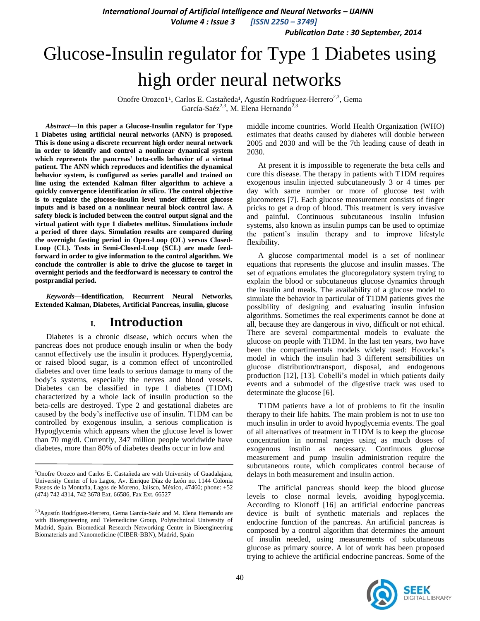*International Journal of Artificial Intelligence and Neural Networks – IJAINN*

 *Volume 4 : Issue 3 [ISSN 2250 – 3749]*

*Publication Date : 30 September, 2014*

# Glucose-Insulin regulator for Type 1 Diabetes using high order neural networks

Onofre Orozco1<sup>1</sup>, Carlos E. Castañeda<sup>1</sup>, Agustín Rodríiguez-Herrero<sup>2,3</sup>, Gema García-Saéz<sup>2,3</sup>, M. Elena Hernando<sup>2,3</sup>

*Abstract***—In this paper a Glucose-Insulin regulator for Type 1 Diabetes using artificial neural networks (ANN) is proposed. This is done using a discrete recurrent high order neural network in order to identify and control a nonlinear dynamical system which represents the pancreas' beta-cells behavior of a virtual patient. The ANN which reproduces and identifies the dynamical behavior system, is configured as series parallel and trained on line using the extended Kalman filter algorithm to achieve a quickly convergence identification** *in silico***. The control objective is to regulate the glucose-insulin level under different glucose inputs and is based on a nonlinear neural block control law. A safety block is included between the control output signal and the virtual patient with type 1 diabetes mellitus. Simulations include a period of three days. Simulation results are compared during the overnight fasting period in Open-Loop (OL) versus Closed-Loop (CL). Tests in Semi-Closed-Loop (SCL) are made feedforward in order to give information to the control algorithm. We conclude the controller is able to drive the glucose to target in overnight periods and the feedforward is necessary to control the postprandial period.**

*Keywords—***Identification, Recurrent Neural Networks, Extended Kalman, Diabetes, Artificial Pancreas, insulin, glucose**

## **I. Introduction**

Diabetes is a chronic disease, which occurs when the pancreas does not produce enough insulin or when the body cannot effectively use the insulin it produces. Hyperglycemia, or raised blood sugar, is a common effect of uncontrolled diabetes and over time leads to serious damage to many of the body's systems, especially the nerves and blood vessels. Diabetes can be classified in type 1 diabetes (T1DM) characterized by a whole lack of insulin production so the beta-cells are destroyed. Type 2 and gestational diabetes are caused by the body's ineffective use of insulin. T1DM can be controlled by exogenous insulin, a serious complication is Hypoglycemia which appears when the glucose level is lower than 70 mg/dl. Currently, 347 million people worldwide have diabetes, more than 80% of diabetes deaths occur in low and

middle income countries. World Health Organization (WHO) estimates that deaths caused by diabetes will double between 2005 and 2030 and will be the 7th leading cause of death in 2030.

At present it is impossible to regenerate the beta cells and cure this disease. The therapy in patients with T1DM requires exogenous insulin injected subcutaneously 3 or 4 times per day with same number or more of glucose test with glucometers [7]. Each glucose measurement consists of finger pricks to get a drop of blood. This treatment is very invasive and painful. Continuous subcutaneous insulin infusion systems, also known as insulin pumps can be used to optimize the patient's insulin therapy and to improve lifestyle flexibility.

A glucose compartmental model is a set of nonlinear equations that represents the glucose and insulin masses. The set of equations emulates the glucoregulatory system trying to explain the blood or subcutaneous glucose dynamics through the insulin and meals. The availability of a glucose model to simulate the behavior in particular of T1DM patients gives the possibility of designing and evaluating insulin infusion algorithms. Sometimes the real experiments cannot be done at all, because they are dangerous in vivo, difficult or not ethical. There are several compartmental models to evaluate the glucose on people with T1DM. In the last ten years, two have been the compartimentals models widely used: Hovorka's model in which the insulin had 3 different sensibilities on glucose distribution/transport, disposal, and endogenous production [12], [13]. Cobelli's model in which patients daily events and a submodel of the digestive track was used to determinate the glucose [6].

T1DM patients have a lot of problems to fit the insulin therapy to their life habits. The main problem is not to use too much insulin in order to avoid hypoglycemia events. The goal of all alternatives of treatment in T1DM is to keep the glucose concentration in normal ranges using as much doses of exogenous insulin as necessary. Continuous glucose measurement and pump insulin administration require the subcutaneous route, which complicates control because of delays in both measurement and insulin action.

The artificial pancreas should keep the blood glucose levels to close normal levels, avoiding hypoglycemia. According to Klonoff [16] an artificial endocrine pancreas device is built of synthetic materials and replaces the endocrine function of the pancreas. An artificial pancreas is composed by a control algorithm that determines the amount of insulin needed, using measurements of subcutaneous glucose as primary source. A lot of work has been proposed trying to achieve the artificial endocrine pancreas. Some of the



<sup>&</sup>lt;sup>1</sup>Onofre Orozco and Carlos E. Castañeda are with University of Guadalajara, University Center of los Lagos, Av. Enrique Díaz de León no. 1144 Colonia Paseos de la Montaña, Lagos de Moreno, Jalisco, México, 47460; phone: +52 (474) 742 4314, 742 3678 Ext. 66586, Fax Ext. 66527

<sup>2,3</sup>Agustín Rodríguez-Herrero, Gema García-Saéz and M. Elena Hernando are with Bioengineering and Telemedicine Group, Polytechnical University of Madrid, Spain. Biomedical Research Networking Centre in Bioengineering Biomaterials and Nanomedicine (CIBER-BBN), Madrid, Spain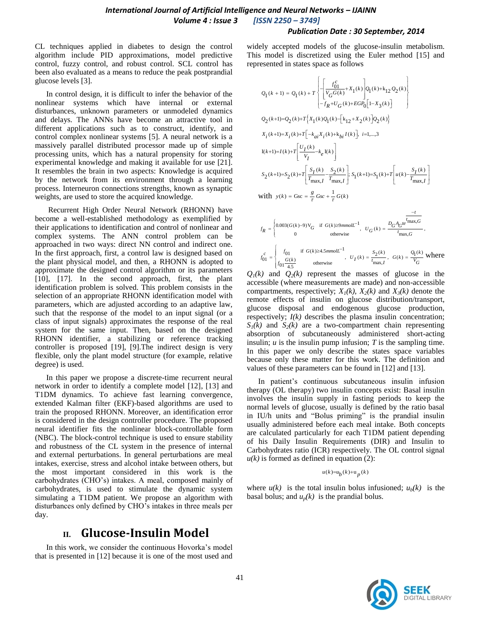CL techniques applied in diabetes to design the control algorithm include PID approximations, model predictive control, fuzzy control, and robust control. SCL control has been also evaluated as a means to reduce the peak postprandial glucose levels [3].

In control design, it is difficult to infer the behavior of the nonlinear systems which have internal or external disturbances, unknown parameters or unmodeled dynamics and delays. The ANNs have become an attractive tool in different applications such as to construct, identify, and control complex nonlinear systems [5]. A neural network is a massively parallel distributed processor made up of simple processing units, which has a natural propensity for storing experimental knowledge and making it available for use [21]. It resembles the brain in two aspects: Knowledge is acquired by the network from its environment through a learning process. Interneuron connections strengths, known as synaptic weights, are used to store the acquired knowledge.

Recurrent High Order Neural Network (RHONN) have become a well-established methodology as exemplified by their applications to identification and control of nonlinear and complex systems. The ANN control problem can be approached in two ways: direct NN control and indirect one. In the first approach, first, a control law is designed based on the plant physical model, and then, a RHONN is adopted to approximate the designed control algorithm or its parameters [10], [17]. In the second approach, first, the plant identification problem is solved. This problem consists in the selection of an appropriate RHONN identification model with parameters, which are adjusted according to an adaptive law, such that the response of the model to an input signal (or a class of input signals) approximates the response of the real system for the same input. Then, based on the designed RHONN identifier, a stabilizing or reference tracking controller is proposed [19], [9].The indirect design is very flexible, only the plant model structure (for example, relative degree) is used.

In this paper we propose a discrete-time recurrent neural network in order to identify a complete model [12], [13] and T1DM dynamics. To achieve fast learning convergence, extended Kalman filter (EKF)-based algorithms are used to train the proposed RHONN. Moreover, an identification error is considered in the design controller procedure. The proposed neural identifier fits the nonlinear block-controllable form (NBC). The block-control technique is used to ensure stability and robustness of the CL system in the presence of internal and external perturbations. In general perturbations are meal intakes, exercise, stress and alcohol intake between others, but the most important considered in this work is the carbohydrates (CHO's) intakes. A meal, composed mainly of carbohydrates, is used to stimulate the dynamic system simulating a T1DM patient. We propose an algorithm with disturbances only defined by CHO's intakes in three meals per day.

# **II. Glucose-Insulin Model**

In this work, we consider the continuous Hovorka's model that is presented in [12] because it is one of the most used and widely accepted models of the glucose-insulin metabolism. This model is discretized using the Euler method [15] and represented in states space as follows

$$
\begin{aligned} &Q_1(k+1)=Q_1(k)+T\left\{\left[\frac{f_{01}^c}{V_GG(k)}+X_1(k)\right] &Q_1(k)+k_{12}Q_2(k)\\&-f_R+U_G(k)+EGP_0\Big[1-X_3(k)\Big]\\&Q_2(k+1)=&Q_2(k)+T\Big\{X_1(k)Q_1(k)-\Big[k_{12}+X_2(k)\Big] &Q_2(k)\Big\}\\&X_i(k+1)=&X_i(k)+T\Big[-k_{ai}X_i(k)+k_{bi}I(k)\Big],\ i=1,...,3\\&I(k+1)=I(k)+T\Bigg[\frac{U_I(k)}{V_I}-k_e I(k)\Bigg]\\&S_2(k+1)=S_2(k)+T\Bigg[\frac{S_I(k)}{T_{\max,I}}-\frac{S_2(k)}{T_{\max,I}}\Bigg];\ S_1(k+1)=S_1(k)+T\Bigg[u(k)-\frac{S_I(k)}{T_{\max,I}}\Bigg]\\&\text{with}\ \ y(k)=\text{Gsc}=\frac{g}{\tau}\text{Gsc}+\frac{1}{\tau}\text{G}(k) \end{aligned}\right.
$$

$$
f_R = \begin{cases} 0.003(G(k)-9)V_G & \text{if } G(k) \ge 9mmolL^{-1}, & U_G(k) = \frac{D_G A_G t e^{\frac{t}{l} \max_{i, G}}}{t_{\max,G}}, \\ 0 & \text{otherwise} \end{cases}
$$
\n
$$
f_{01}^c = \begin{cases} f_{01} & \text{if } G(k) \ge 4.5mmolL^{-1}, \\ f_{01} \frac{G(k)}{4.5} & \text{otherwise} \end{cases}, \quad U_I(k) = \frac{S_2(k)}{t_{\max,I}}, \quad G(k) = \frac{Q_1(k)}{V_G} \text{ where}
$$

 $Q_1(k)$  and  $Q_2(k)$  represent the masses of glucose in the accessible (where measurements are made) and non-accessible compartments, respectively;  $X_1(k)$ ,  $X_2(k)$  and  $X_3(k)$  denote the remote effects of insulin on glucose distribution/transport, glucose disposal and endogenous glucose production, respectively;  $I(k)$  describes the plasma insulin concentration;  $S_1(k)$  and  $S_2(k)$  are a two-compartment chain representing absorption of subcutaneously administered short-acting insulin;  $u$  is the insulin pump infusion;  $T$  is the sampling time. In this paper we only describe the states space variables because only these matter for this work. The definition and values of these parameters can be found in [12] and [13].

In patient's continuous subcutaneous insulin infusion therapy (OL therapy) two insulin concepts exist: Basal insulin involves the insulin supply in fasting periods to keep the normal levels of glucose, usually is defined by the ratio basal in IU/h units and "Bolus priming" is the prandial insulin usually administered before each meal intake. Both concepts are calculated particularly for each T1DM patient depending of his Daily Insulin Requirements (DIR) and Insulin to Carbohydrates ratio (ICR) respectively. The OL control signal  $u(k)$  is formed as defined in equation (2):

#### $u(k)=u_{b}(k)+u_{p}(k)$

where  $u(k)$  is the total insulin bolus infusioned;  $u_b(k)$  is the basal bolus; and  $u_p(k)$  is the prandial bolus.

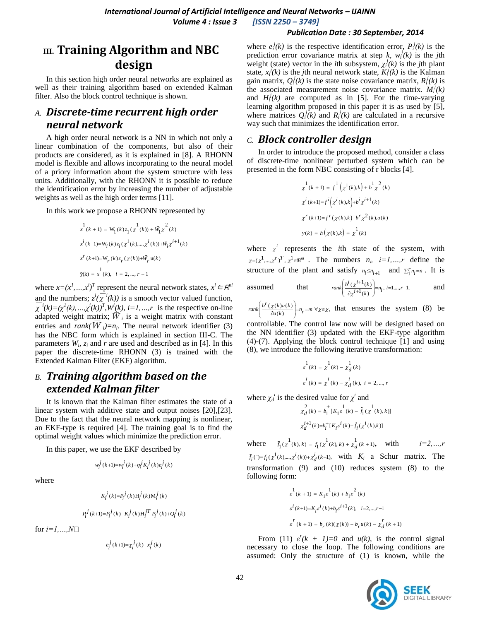# **III. Training Algorithm and NBC design**

In this section high order neural networks are explained as well as their training algorithm based on extended Kalman filter. Also the block control technique is shown.

# *A. Discrete-time recurrent high order neural network*

A high order neural network is a NN in which not only a linear combination of the components, but also of their products are considered, as it is explained in [8]. A RHONN model is flexible and allows incorporating to the neural model of a priory information about the system structure with less units. Additionally, with the RHONN it is possible to reduce the identification error by increasing the number of adjustable weights as well as the high order terms [11].

In this work we propose a RHONN represented by

$$
x^{1}(k+1) = W_{1}(k)z_{1}(x^{1}(k)) + \overline{W}_{1}x^{2}(k)
$$
  
\n
$$
x^{i}(k+1) = W_{i}(k)z_{i}(x^{1}(k),...,x^{i}(k)) + \overline{W}_{i}x^{i+1}(k)
$$
  
\n
$$
x^{r}(k+1) = W_{r}(k)z_{r}(x(k)) + \overline{W}_{r}u(k)
$$
  
\n
$$
\tilde{y}(k) = x^{1}(k), i = 2,...,r-1
$$

where  $x=(x^1, ..., x^i)^T$  represent the neural network states,  $x^i \in \mathbb{R}^{ni}$ and the numbers;  $z^{i}(\overline{\chi}^{i}(k))$  is a smooth vector valued function,  $\overline{\chi}^i(k) = (\chi^I(k), ..., \chi^i(k))^T$ ,  $W^i(k)$ ,  $i = 1, ..., r$  is the respective on-line adapted weight matrix;  $\overline{W}_i$  is a weight matrix with constant entries and *rank*( $\overline{W}_i$ )=n<sub>i</sub>. The neural network identifier (3) has the NBC form which is explained in section III-C. The parameters  $W_i$ ,  $z_i$  and  $r$  are used and described as in [4]. In this paper the discrete-time RHONN (3) is trained with the Extended Kalman Filter (EKF) algorithm.

## *B. Training algorithm based on the extended Kalman filter*

It is known that the Kalman filter estimates the state of a linear system with additive state and output noises [20],[23]. Due to the fact that the neural network mapping is nonlinear, an EKF-type is required [4]. The training goal is to find the optimal weight values which minimize the prediction error.

In this paper, we use the EKF described by

$$
w_i^j(k+1) {=} w_i^j(k) {+} \eta_i^j K_i^j(k) e_i^j(k)
$$

where

$$
K_i^j(k) = P_i^j(k) \mathbf{H}_i^j(k) \mathbf{M}_i^j(k)
$$
  

$$
P_i^j(k+1) = P_i^j(k) - K_i^j(k) \mathbf{H}_i^{jT} P_i^j(k) + Q_i^j(k)
$$

for  $i=1,...,N$ 

$$
e_i^j(k+1)=\chi_i^j(k)-x_i^j(k)
$$

where  $e_i^j(k)$  is the respective identification error,  $P_i^j(k)$  is the prediction error covariance matrix at step  $k$ ,  $w_i^j(k)$  is the *j*th weight (state) vector in the *i*th subsystem,  $\chi_i^j(k)$  is the *j*th plant state,  $x_i^j(k)$  is the *j*th neural network state,  $K_i^j(k)$  is the Kalman gain matrix,  $Q_i^j(k)$  is the state noise covariance matrix,  $R_i^j(k)$  is the associated measurement noise covariance matrix.  $M_i^j(k)$ and  $H_i^j(k)$  are computed as in [5]. For the time-varying learning algorithm proposed in this paper it is as used by [5], where matrices  $Q_i^j(k)$  and  $R_i^j(k)$  are calculated in a recursive way such that minimizes the identification error.

## *C. Block controller design*

In order to introduce the proposed method, consider a class of discrete-time nonlinear perturbed system which can be presented in the form NBC consisting of r blocks [4].

$$
\chi^1(k+1) = f^1(\chi^1(k),k) + b^1 \chi^2(k)
$$
  

$$
\chi^i(k+1) = f^i(\chi^i(k),k) + b^i \chi^{i+1}(k)
$$
  

$$
\chi^r(k+1) = f^r(\chi(k),k) + b^r \chi^2(k), u(k)
$$
  

$$
y(k) = h(\chi(k),k) = \chi^1(k)
$$

where  $\chi^i$  represents the *i*th state of the system, with  $\chi = (\chi^1, \ldots, \chi^r)^T$ ,  $\chi^1 \in \mathbb{R}^{n_i}$ . The numbers  $n_i$ ,  $i=1,\ldots,r$  define the structure of the plant and satisfy  $n_i \leq n_{i+1}$  and  $\sum_{i=1}^{r} n_i = n$ . It is assumed that  $rank\left(\frac{b^{i}( \chi^{i+1}(k))}{\partial \chi^{i+1}(k)}\right) = n_{i}, i = 1,...,r-1,$ χ χ  $\left(\frac{b^i(\chi^{i+1}(k)}{\partial \chi^{i+1}(k)}\right)=n_i,\,i=1,...,r-1,$ and

 $\left(\frac{\chi(k)u(k)}{\partial u(k)}\right) = n_r = m \ \forall \chi \in \chi,$  $rank\left(\frac{b^r(\chi(k)u(k))}{\partial u(k)}\right) = n_r = m \ \forall \chi \in \chi,$ that ensures the system (8) be

controllable. The control law now will be designed based on the NN identifier (3) updated with the EKF-type algorithm (4)-(7). Applying the block control technique [1] and using (8), we introduce the following iterative transformation:

$$
\varepsilon^{1}(k) = \chi^{1}(k) - \chi^{1}(k)
$$
  

$$
\varepsilon^{i}(k) = \chi^{i}(k) - \chi^{i}(k), i = 2, ..., r
$$

where  $\chi_d^i$  is the desired value for  $\chi^i$  and

$$
\chi_d^2(k) = b_1^{\dagger} [K_1 \varepsilon^1(k) - \tilde{f}_1(\chi^1(k), k)]
$$
  

$$
\chi_d^{i+1}(k) = b_i^{\dagger} [K_i \varepsilon^i(k) - \tilde{f}_i(\chi^i(k), k)]
$$

where  $\tilde{f}_1(x^1(k), k) = f_1(x^1(k), k) + \chi_d^1(k+1)$ , with  $i=2,...,r$  $\tilde{f}_i$ ( $\Box = f_i(\chi^1(k),..., \chi^i(k)) + \chi^i(\chi^i(k+1))$ , with  $K_i$  a Schur matrix. The transformation (9) and (10) reduces system (8) to the following form:

$$
\begin{array}{l} \vspace{2mm} \vspace{2mm} \vspace{2mm} \vspace{2mm} \vspace{2mm} \vspace{2mm} \vspace{2mm} \vspace{2mm} \vspace{2mm} \vspace{2mm} \vspace{2mm} \vspace{2mm} \vspace{2mm} \vspace{2mm} \vspace{2mm} \vspace{2mm} \vspace{2mm} \vspace{2mm} \vspace{2mm} \vspace{2mm} \vspace{2mm} \vspace{2mm} \vspace{2mm} \vspace{2mm} \vspace{2mm} \vspace{2mm} \vspace{2mm} \vspace{2mm} \vspace{2mm} \vspace{2mm} \vspace{2mm} \vspace{2mm} \vspace{2mm} \vspace{2mm} \vspace{2mm} \vspace{2mm} \vspace{2mm} \vspace{2mm} \vspace{2mm} \vspace{2mm} \vspace{2mm} \vspace{2mm} \vspace{2mm} \vspace{2mm} \vspace{2mm} \vspace{2mm} \vspace{2mm} \vspace{2mm} \vspace{2mm} \vspace{2mm} \vspace{2mm} \vspace{2mm} \vspace{2mm} \vspace{2mm} \vspace{2mm} \vspace{2mm} \vspace{2mm} \vspace{2mm} \vspace{2mm} \vspace{2mm} \vspace{2mm} \vspace{2mm} \vspace{2mm} \vspace{2mm} \vspace{2mm} \vspace{2mm} \vspace{2mm} \vspace{2mm} \vspace{2mm} \vspace{2mm} \vspace{2mm} \vspace{2mm} \vspace{2mm} \vspace{2mm} \vspace{2mm} \vspace{2mm} \vspace{2mm} \vspace{2mm} \vspace{2mm} \vspace{2mm} \vspace{2mm} \vspace{2mm} \vspace{2mm} \vspace{2mm} \vspace{2mm} \vspace{2mm} \vspace{2mm} \vspace{2mm} \vspace{2mm} \vspace{2mm} \vspace{2mm} \vspace{2mm} \vspace{2mm} \vspace{2mm} \vspace{2mm} \vspace{2mm} \vspace{2mm} \vspace{2mm} \vspace{2mm} \vspace{2mm} \vspace{2mm} \vspace{2mm} \vspace{2mm} \vspace{2mm} \vspace{2mm} \vspace{2mm} \vspace{2mm} \vspace{
$$

From (11)  $\varepsilon^{r}(k + 1)=0$  and  $u(k)$ , is the control signal necessary to close the loop. The following conditions are assumed: Only the structure of (1) is known, while the

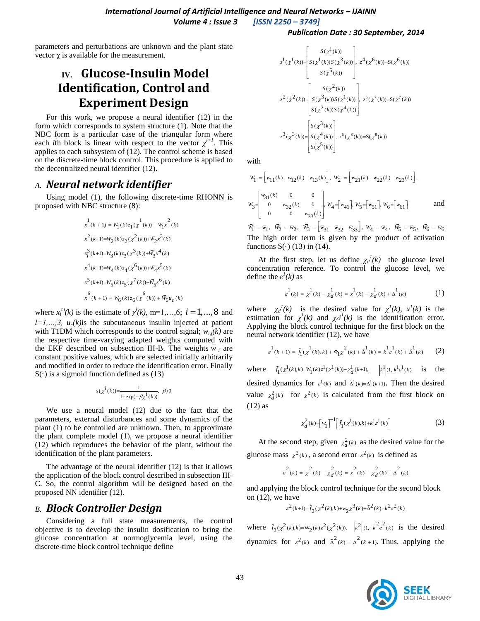*International Journal of Artificial Intelligence and Neural Networks – IJAINN Volume 4 : Issue 3 [ISSN 2250 – 3749]*

parameters and perturbations are unknown and the plant state vector  $χ$  is available for the measurement.

# **IV. Glucose-Insulin Model Identification, Control and Experiment Design**

For this work, we propose a neural identifier (12) in the form which corresponds to system structure (1). Note that the NBC form is a particular case of the triangular form where each *i*th block is linear with respect to the vector  $\chi^{i+1}$ . This applies to each subsystem of (12). The control scheme is based on the discrete-time block control. This procedure is applied to the decentralized neural identifier (12).

#### *A. Neural network identifier*

Using model (1), the following discrete-time RHONN is proposed with NBC structure (8):

$$
\begin{aligned} &x^1(k+1) = W_1(k)z_1(\chi^1(k)) + \bar{W_1}\chi^2(k)\\ &x^2(k+1) {=} W_2(k)z_2(\chi^2(k)) {+} \bar{W_2}\chi^3(k)\\ &x_1^3(k+1) {=} W_3(k)z_3(\chi^3(k)) {+} \bar{W_3}\chi^4(k)\\ &x^4(k+1) {=} W_4(k)z_4(\chi^6(k)) {+} \bar{W_4}\chi^5(k)\\ &x^5(k+1) {=} W_5(k)z_5(\chi^7(k)) {+} \bar{W_5}\chi^6(k)\\ &x^6(k+1) = W_6(k)z_6(\chi^6(k)) {+} \bar{W_6}u_c(k) \end{aligned}
$$

where  $x_l^m(k)$  is the estimate of  $\chi^i(k)$ , m=1,...,6;  $i = 1, ..., 8$  and  $l=l, ..., 3$ ,  $u_c(k)$  is the subcutaneous insulin injected at patient with T1DM which corresponds to the control signal;  $w_{i,j}(k)$  are the respective time-varying adapted weights computed with the EKF described on subsection III-B. The weights  $\bar{w}_i$  are constant positive values, which are selected initially arbitrarily and modified in order to reduce the identification error. Finally  $S(\cdot)$  is a sigmoid function defined as (13)

$$
s(\chi^{i}(k)) = \frac{1}{1 + \exp(-\beta \chi^{i}(k))}, \ \beta \rangle 0
$$

We use a neural model (12) due to the fact that the parameters, external disturbances and some dynamics of the plant (1) to be controlled are unknown. Then, to approximate the plant complete model (1), we propose a neural identifier (12) which reproduces the behavior of the plant, without the identification of the plant parameters.

The advantage of the neural identifier (12) is that it allows the application of the block control described in subsection III-C. So, the control algorithm will be designed based on the proposed NN identifier (12).

## *B. Block Controller Design*

Considering a full state measurements, the control objective is to develop the insulin dosification to bring the glucose concentration at normoglycemia level, using the discrete-time block control technique define

$$
z^{1}(\chi^{1}(k)) = \begin{bmatrix} S(\chi^{1}(k)) \\ S(\chi^{1}(k))S(\chi^{3}(k)) \\ S(\chi^{5}(k)) \end{bmatrix}, z^{4}(\chi^{6}(k)) = S(\chi^{6}(k))
$$
  

$$
z^{2}(\chi^{2}(k)) = \begin{bmatrix} S(\chi^{2}(k)) \\ S(\chi^{3}(k))S(\chi^{1}(k)) \\ S(\chi^{2}(k))S(\chi^{4}(k)) \end{bmatrix}, z^{5}(\chi^{7}(k)) = S(\chi^{7}(k))
$$
  

$$
z^{3}(\chi^{3}(k)) = \begin{bmatrix} S(\chi^{3}(k)) \\ S(\chi^{4}(k)) \\ S(\chi^{5}(k)) \end{bmatrix}, z^{6}(\chi^{8}(k)) = S(\chi^{8}(k))
$$

with

$$
w_1 = \begin{bmatrix} w_{11}(k) & w_{12}(k) & w_{13}(k) \end{bmatrix}, \ w_2 = \begin{bmatrix} w_{21}(k) & w_{22}(k) & w_{23}(k) \end{bmatrix},
$$
  

$$
w_3 = \begin{bmatrix} w_{31}(k) & 0 & 0 \ 0 & w_{32}(k) & 0 \ 0 & 0 & w_{33}(k) \end{bmatrix}, \ w_4 = \begin{bmatrix} w_{41} \end{bmatrix}, \ w_5 = \begin{bmatrix} w_{51} \end{bmatrix}, \ w_6 = \begin{bmatrix} w_{61} \end{bmatrix}
$$
 and

 $\begin{aligned} \begin{bmatrix} 0 & 0 & w_{33}(k) \end{bmatrix} \\ \bar{w}_1 = \bar{w}_1, \ \ \bar{w}_2 = \bar{w}_2, \ \ \bar{w}_3 = \begin{bmatrix} \bar{w}_{31} & \bar{w}_{32} & \bar{w}_{33} \end{bmatrix}, \ W_4 = \bar{w}_4, \ \ \bar{w}_5 = \bar{w}_5, \ \ \bar{w}_6 = \bar{w}_6 \end{aligned}$ The high order term is given by the product of activation functions  $S(\cdot)$  (13) in (14).

At the first step, let us define  $\chi_d^{-1}(k)$  the glucose level concentration reference. To control the glucose level, we define the  $\varepsilon^l(k)$  as

$$
s^1(k) = \chi^1(k) - \chi^1_d(k) = \chi^1(k) - \chi^1_d(k) + \Delta^1(k)
$$
 (1)

where  $\chi_d^1(k)$  is the desired value for  $\chi^1(k)$ ,  $\chi^1(k)$  is the estimation for  $\chi^1(k)$  and  $\chi^2(k)$  is the identification error. Applying the block control technique for the first block on the neural network identifier (12), we have

$$
\int_{\mathcal{E}}^{1} (k+1) = \tilde{f}_1(x^{1}(k), k) + \bar{w}_1 x^{2}(k) + \tilde{\Delta}^{1}(k) = k^{1} \mathcal{E}(k) + \tilde{\Delta}^{1}(k)
$$
 (2)

where  $\tilde{f}_1(\chi^1(k),k) = W_1(k)\chi^1(\chi^1(k)) - \chi^1_d(k+1)$ ,  $\Big| k^1(1, k^1\chi^1(k))$  is the desired dynamics for  $\varepsilon^1(k)$  and  $\tilde{\Delta}^1(k)=\Delta^1(k+1)$ . Then the desired value  $\chi_d^2(k)$  for  $\chi^2(k)$  is calculated from the first block on (12) as

$$
\chi_d^2(k) = \left[\bar{w}_1\right]^{-1} \left[\tilde{f}_1(\chi^1(k),k) + k^1 \varepsilon^1(k)\right] \tag{3}
$$

At the second step, given  $\chi_d^2(k)$  as the desired value for the glucose mass  $\chi^2(k)$ , a second error  $\varepsilon^2(k)$  is defined as

 $\kappa^{2}(k) = \chi^{2}(k) - \chi^{2}(k) = \chi^{2}(k) - \chi^{2}(k) + \Delta^{2}(k)$ 

and applying the block control technique for the second block on (12), we have

$$
\varepsilon^{2}(k+1) = \tilde{f}_{2}(x^{2}(k),k) + \bar{w}_{2}x^{3}(k) + \tilde{\Delta}^{2}(k) = k^{2}\varepsilon^{2}(k)
$$

where  $\tilde{f}_2(x^2(k),k) = W_2(k)z^2(x^2(k))$ ,  $|k^2| \langle 1, k^2 e^2(k) \rangle$  is the desired dynamics for  $\varepsilon^2(k)$  and  $\overline{\Delta}^2(k) = \overline{\Delta}^2(k+1)$ . Thus, applying the

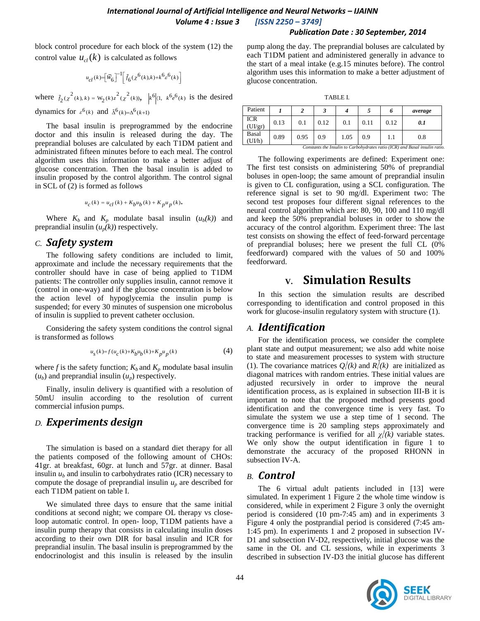block control procedure for each block of the system (12) the control value  $u_{cl}(k)$  is calculated as follows

$$
u_{cl}(k)\!\!=\!\!\left[\bar{W}_{\!6}\right]^{-1}\!\!\left[\tilde{f}_{6}(\chi^{6}(k)\!,\!k)\!+\!k^{6}\varepsilon^{6}(k)\right]
$$

where  $\tilde{f}_2(x^2(k), k) = W_2(k)z^2(x^2(k))$ ,  $\left| k^6 \right| (1, k^6 e^6(k))$  is the desired

dynamics for  $\varepsilon^6(k)$  and  $\tilde{\Delta}^6(k)=\Delta^6(k+1)$ 

The basal insulin is preprogrammed by the endocrine doctor and this insulin is released during the day. The preprandial boluses are calculated by each T1DM patient and administrated fifteen minutes before to each meal. The control algorithm uses this information to make a better adjust of glucose concentration. Then the basal insulin is added to insulin proposed by the control algorithm. The control signal in SCL of (2) is formed as follows

$$
u_c(k) = u_{cl}(k) + K_b u_b(k) + K_p u_p(k).
$$

Where  $K_b$  and  $K_p$  modulate basal insulin  $(u_b(k))$  and preprandial insulin  $(u_p(k))$  respectively.

## *C. Safety system*

The following safety conditions are included to limit, approximate and include the necessary requirements that the controller should have in case of being applied to T1DM patients: The controller only supplies insulin, cannot remove it (control in one-way) and if the glucose concentration is below the action level of hypoglycemia the insulin pump is suspended; for every 30 minutes of suspension one microbolus of insulin is supplied to prevent catheter occlusion.

Considering the safety system conditions the control signal is transformed as follows

$$
u_s(k)=f(u_c(k)+K_bu_b(k)+K_pu_p(k)\qquad \qquad (4)
$$

where *f* is the safety function;  $K_b$  and  $K_p$  modulate basal insulin  $(u_b)$  and preprandial insulin  $(u_n)$  respectively.

Finally, insulin delivery is quantified with a resolution of 50mU insulin according to the resolution of current commercial infusion pumps.

## *D. Experiments design*

The simulation is based on a standard diet therapy for all the patients composed of the following amount of CHOs: 41gr. at breakfast, 60gr. at lunch and 57gr. at dinner. Basal insulin  $u<sub>b</sub>$  and insulin to carbohydrates ratio (ICR) necessary to compute the dosage of preprandial insulin  $u_p$  are described for each T1DM patient on table I.

We simulated three days to ensure that the same initial conditions at second night; we compare OL therapy vs closeloop automatic control. In open- loop, T1DM patients have a insulin pump therapy that consists in calculating insulin doses according to their own DIR for basal insulin and ICR for preprandial insulin. The basal insulin is preprogrammed by the endocrinologist and this insulin is released by the insulin pump along the day. The preprandial boluses are calculated by each T1DM patient and administered generally in advance to the start of a meal intake (e.g.15 minutes before). The control algorithm uses this information to make a better adjustment of glucose concentration.

| × |
|---|

| Patient              |      |      |      |      |      | o    | average |
|----------------------|------|------|------|------|------|------|---------|
| <b>ICR</b><br>(UIgr) | 0.13 | 0.1  | 0.12 | 0.1  | 0.11 | 0.12 | 0.1     |
| Basal<br>(UJ/h)      | 0.89 | 0.95 | 0.9  | 1.05 | 0.9  | 1.1  | 0.8     |

The following experiments are defined: Experiment one: The first test consists on administering 50% of preprandial boluses in open-loop; the same amount of preprandial insulin is given to CL configuration, using a SCL configuration. The reference signal is set to 90 mg/dl. Experiment two: The second test proposes four different signal references to the neural control algorithm which are: 80, 90, 100 and 110 mg/dl and keep the 50% preprandial boluses in order to show the accuracy of the control algorithm. Experiment three: The last test consists on showing the effect of feed-forward percentage of preprandial boluses; here we present the full CL (0% feedforward) compared with the values of 50 and 100% feedforward.

# **V. Simulation Results**

In this section the simulation results are described corresponding to identification and control proposed in this work for glucose-insulin regulatory system with structure (1).

## *A. Identification*

For the identification process, we consider the complete plant state and output measurement; we also add white noise to state and measurement processes to system with structure (1). The covariance matrices  $Q_i^j(k)$  and  $R_i^j(k)$  are initialized as diagonal matrices with random entries. These initial values are adjusted recursively in order to improve the neural identification process, as is explained in subsection III-B it is important to note that the proposed method presents good identification and the convergence time is very fast. To simulate the system we use a step time of 1 second. The convergence time is 20 sampling steps approximately and tracking performance is verified for all  $\chi^i(k)$  variable states. We only show the output identification in figure 1 to demonstrate the accuracy of the proposed RHONN in subsection IV-A.

## *B. Control*

The 6 virtual adult patients included in [13] were simulated. In experiment 1 Figure 2 the whole time window is considered, while in experiment 2 Figure 3 only the overnight period is considered (10 pm-7:45 am) and in experiments 3 Figure 4 only the postprandial period is considered (7:45 am-1:45 pm). In experiments 1 and 2 proposed in subsection IV-D1 and subsection IV-D2, respectively, initial glucose was the same in the OL and CL sessions, while in experiments 3 described in subsection IV-D3 the initial glucose has different

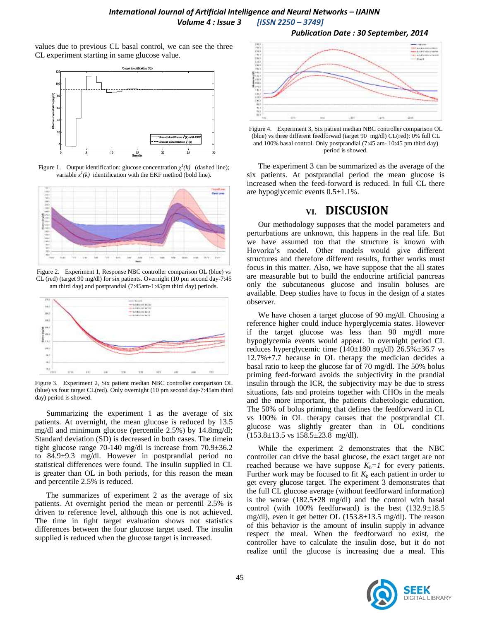values due to previous CL basal control, we can see the three CL experiment starting in same glucose value.



Figure 1. Output identification: glucose concentration  $\chi^I(k)$  (dashed line); variable  $x^1(k)$  identification with the EKF method (bold line).



Figure 2. Experiment 1, Response NBC controller comparison OL (blue) vs CL (red) (target 90 mg/dl) for six patients. Overnight (10 pm second day-7:45 am third day) and postprandial (7:45am-1:45pm third day) periods.



Figure 3. Experiment 2, Six patient median NBC controller comparison OL (blue) vs four target CL(red). Only overnight (10 pm second day-7:45am third day) period is showed.

Summarizing the experiment 1 as the average of six patients. At overnight, the mean glucose is reduced by 13.5 mg/dl and minimum glucose (percentile 2.5%) by 14.8mg/dl; Standard deviation (SD) is decreased in both cases. The timein tight glucose range 70-140 mg/dl is increase from 70.9±36.2 to 84.9±9.3 mg/dl. However in postprandial period no statistical differences were found. The insulin supplied in CL is greater than OL in both periods, for this reason the mean and percentile 2.5% is reduced.

The summarizes of experiment 2 as the average of six patients. At overnight period the mean or percentil 2.5% is driven to reference level, although this one is not achieved. The time in tight target evaluation shows not statistics differences between the four glucose target used. The insulin supplied is reduced when the glucose target is increased.





Figure 4. Experiment 3, Six patient median NBC controller comparison OL (blue) vs three different feedforwad (target 90 mg/dl) CL(red): 0% full CL and 100% basal control. Only postprandial (7:45 am- 10:45 pm third day) period is showed.

The experiment 3 can be summarized as the average of the six patients. At postprandial period the mean glucose is increased when the feed-forward is reduced. In full CL there are hypoglycemic events 0.5±1.1%.

## **VI. DISCUSION**

Our methodology supposes that the model parameters and perturbations are unknown, this happens in the real life. But we have assumed too that the structure is known with Hovorka's model. Other models would give different structures and therefore different results, further works must focus in this matter. Also, we have suppose that the all states are measurable but to build the endocrine artificial pancreas only the subcutaneous glucose and insulin boluses are available. Deep studies have to focus in the design of a states observer.

We have chosen a target glucose of 90 mg/dl. Choosing a reference higher could induce hyperglycemia states. However if the target glucose was less than 90 mg/dl more hypoglycemia events would appear. In overnight period CL reduces hyperglycemic time  $(140\pm180 \text{ mg/dl})$  26.5% $\pm$ 36.7 vs 12.7%±7.7 because in OL therapy the medician decides a basal ratio to keep the glucose far of 70 mg/dl. The 50% bolus priming feed-forward avoids the subjectivity in the prandial insulin through the ICR, the subjectivity may be due to stress situations, fats and proteins together with CHOs in the meals and the more important, the patients diabetologic education. The 50% of bolus priming that defines the feedforward in CL vs 100% in OL therapy causes that the postprandial CL glucose was slightly greater than in OL conditions  $(153.8\pm13.5 \text{ vs } 158.5\pm23.8 \text{ mg/dl}).$ 

While the experiment 2 demonstrates that the NBC controller can drive the basal glucose, the exact target are not reached because we have suppose  $K_b = 1$  for every patients. Further work may be focused to fit  $K_b$  each patient in order to get every glucose target. The experiment 3 demonstrates that the full CL glucose average (without feedforward information) is the worse  $(182.5\pm 28 \text{ mg/dl})$  and the control with basal control (with 100% feedforward) is the best  $(132.9\pm18.5$ mg/dl), even it get better OL (153.8±13.5 mg/dl). The reason of this behavior is the amount of insulin supply in advance respect the meal. When the feedforward no exist, the controller have to calculate the insulin dose, but it do not realize until the glucose is increasing due a meal. This

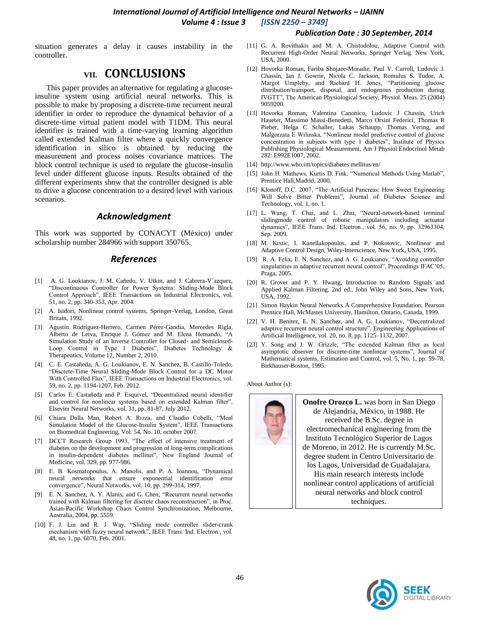situation generates a delay it causes instability in the controller.

## **VII. CONCLUSIONS**

This paper provides an alternative for regulating a glucoseinsuline system using artificial neural networks. This is possible to make by proposing a discrete-time recurrent neural identifier in order to reproduce the dynamical behavior of a discrete-time virtual patient model with T1DM. This neural identifier is trained with a time-varying learning algorithm called extended Kalman filter where a quickly convergence identification in silico is obtained by reducing the measurement and process noises covariance matrices. The block control technique is used to regulate the glucose-insulin level under different glucose inputs. Results obtained of the different experiments show that the controller designed is able to drive a glucose concentration to a desired level with various scenarios.

#### *Acknowledgment*

This work was supported by CONACYT (México) under scholarship number 284966 with support 350765.

#### *References*

- [1] A. G. Loukianov, J. M. Cañedo, V. Utkin, and J. Cabrera-V'azquez, "Discontinuous Controller for Power Systems: Sliding-Mode Block Control Approach", IEEE Transactions on Industrial Electronics, vol. 51, no. 2, pp. 340-353, Apr. 2004.
- [2] A. Isidori, Nonlinear control systems, Springer-Verlag, London, Great Britain, 1992.
- [3] Agustín Rodríguez-Herrero, Carmen Pérez-Gandía, Mercedes Rigla, Alberto de Leiva, Enrique J. Gómez and M. Elena Hernando, "A Simulation Study of an Inverse Controller for Closed- and Semiclosed-Loop Control in Type 1 Diabetes", Diabetes Technology & Therapeutics, Volume 12, Number 2, 2010.
- [4] C. E. Castañeda, A. G. Loukianov, E. N. Sanchez, B. Castillo-Toledo, "Discrete-Time Neural Sliding-Mode Block Control for a DC Motor With Controlled Flux", IEEE Transactions on Industrial Electronics, vol. 59, no. 2, pp. 1194-1207, Feb. 2012.
- [5] Carlos E. Castañeda and P. Esquivel, "Decentralized neural identifier and control for nonlinear systems based on extended Kalman filter", Elsevier Neural Networks, vol. 31, pp. 81-87, July 2012.
- [6] Chiara Dalla Man, Robert A. Rizza, and Claudio Cobelli, "Meal Simulation Model of the Glucose-Insulin System", IEEE Transactions on Biomedical Engineering, Vol. 54, No. 10, october 2007.
- [7] DCCT Research Group 1993, "The effect of intensive treatment of diabetes on the development and progression of long-term complications in insulin-dependent diabetes mellitus", New England Journal of Medicine, vol. 329, pp. 977-986.
- [8] E. B. Kosmatopoulus, A. Manolis, and P. A. Ioannou, "Dynamical neural networks that ensure exponential identification error convergence", Neural Networks, vol. 10, pp. 299-314, 1997.
- [9] E. N. Sanchez, A. Y. Alanis, and G. Chen, "Recurrent neural networks trained with Kalman filtering for discrete chaos reconstruction", in Proc. Asian-Pacific Workshop Chaos Control Synchronization, Melbourne, Australia, 2004, pp. 5559.
- [10] F. J. Lin and R. J. Way, "Sliding mode controller slider-crank mechanism with fuzzy neural network", IEEE Trans. Ind. Electron., vol. 48, no. 1, pp. 6070, Feb. 2001.
- [11] G. A. Rovithakis and M. A. Chistodolou, Adaptive Control with Recurrent High-Order Neural Networks, Springer Verlag. New York, USA, 2000.
- [12] Hovorka Roman, Fariba Shojaee-Moradie, Paul V. Carroll, Ludovic J. Chassin, Ian J. Gowrie, Nicola C. Jackson, Romulus S. Tudor, A. Margot Umpleby, and Richard H. Jones, "Partitioning glucose distribution/transport, disposal, and endogenous production during IVGTT", The American Physiological Society, Physiol. Meas. 25 (2004) 9059200.
- [13] Hovorka Roman, Valentina Canonico, Ludovic J Chassin, Urich Haueter, Massimo Massi-Benedetti, Marco Orsini Federici, Thomas R Pieber, Helga C Schaller, Lukas Schaupp, Thomas Vering, and Malgorzata E Wilinska, "Nonlinear model predictive control of glucose concentration in subjects with type 1 diabetes", Institute of Physics Publishing Physiological Measurement, Am J Physiol Endocrinol Metab 282: E992E1007, 2002.
- [14] http://www.who.int/topics/diabetes mellitus/en/
- [15] John H. Mathews, Kurtis D. Fink, "Numerical Methods Using Matlab", Prentice Hall,Madrid, 2000.
- [16] Klonoff, D.C. 2007, "The Artificial Pancreas: How Sweet Engineering Will Solve Bitter Problems", Journal of Diabetes Science and Technology, vol. 1, no. 1.
- [17] L. Wang, T. Chai, and L. Zhai, "Neural-network-based terminal slidingmode control of robotic manipulators including actuator dynamics", IEEE Trans. Ind. Electron., vol. 56, no. 9, pp. 32963304, Sep. 2009.
- [18] M. Krstic, I. Kanellakopoulos, and P. Kokotovic, Nonlinear and Adaptive Control Design, Wiley-Interscience, New York, USA, 1995.
- [19] R. A. Felix, E. N. Sanchez, and A. G. Loukianov, "Avoiding controller singularities in adaptive recurrent neural control", Proceedings IFAC'05, Praga, 2005.
- [20] R. Grover and P. Y. Hwang, Introduction to Random Signals and Applied Kalman Filtering, 2nd ed., John Wiley and Sons, New York, USA, 1992.
- [21] Simon Haykin Neural Networks A Comprehensive Foundation, Pearson Prentice Hall, McMastes University, Hamilton, Ontario, Canada, 1999.
- [22] V. H. Benitez, E. N. Sanchez, and A. G. Loukianov, "Decentralized adaptive recurrent neural control structure", Engineering Applications of Artificial Intelligence, vol. 20, no. 8, pp. 1125–1132, 2007.
- [23] Y. Song and J. W. Grizzle, "The extended Kalman filter as local asymptotic observer for discrete-time nonlinear systems", Journal of Mathematical systems, Estimation and Control, vol. 5, No. 1, pp. 59-78, Birkhauser-Boston, 1995.

About Author (s):



**Onofre Orozco L.** was born in San Diego de Alejandría, México, in 1988. He received the B.Sc. degree in electromechanical engineering from the Instituto Tecnológico Superior de Lagos de Moreno, in 2012. He is currently M.Sc. degree student in Centro Universitario de los Lagos, Universidad de Guadalajara. His main research interests include nonlinear control applications of artificial neural networks and block control techniques.